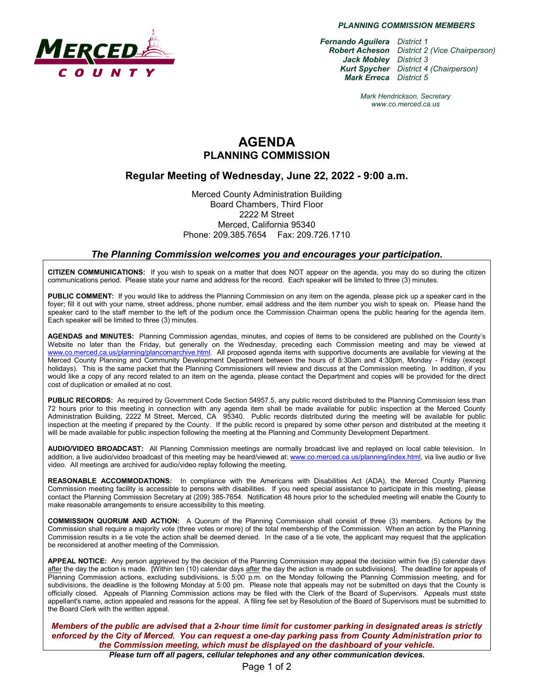

*PLANNING COMMISSION MEMBERS*

*Fernando Aguilera District 1 Robert Acheson District 2 (Vice Chairperson) Jack Mobley District 3 Kurt Spycher District 4 (Chairperson) Mark Erreca District 5*

> *Mark Hendrickson, Secretary www.co.merced.ca.us*

## **AGENDA PLANNING COMMISSION**

### **Regular Meeting of Wednesday, June 22, 2022 - 9:00 a.m.**

Merced County Administration Building Board Chambers, Third Floor 2222 M Street Merced, California 95340 Phone: 209.385.7654 Fax: 209.726.1710

#### *The Planning Commission welcomes you and encourages your participation***.**

**CITIZEN COMMUNICATIONS:** If you wish to speak on a matter that does NOT appear on the agenda, you may do so during the citizen communications period. Please state your name and address for the record. Each speaker will be limited to three (3) minutes.

**PUBLIC COMMENT:** If you would like to address the Planning Commission on any item on the agenda, please pick up a speaker card in the foyer; fill it out with your name, street address, phone number, email address and the item number you wish to speak on. Please hand the speaker card to the staff member to the left of the podium once the Commission Chairman opens the public hearing for the agenda item. Each speaker will be limited to three (3) minutes.

**AGENDAS and MINUTES:** Planning Commission agendas, minutes, and copies of items to be considered are published on the County's Website no later than the Friday, but generally on the Wednesday, preceding each Commission meeting and may be viewed at [www.co.merced.ca.us/planning/plancomarchive.html.](http://www.co.merced.ca.us/planning/plancomarchive.html) All proposed agenda items with supportive documents are available for viewing at the Merced County Planning and Community Development Department between the hours of 8:30am and 4:30pm, Monday - Friday (except holidays). This is the same packet that the Planning Commissioners will review and discuss at the Commission meeting. In addition, if you would like a copy of any record related to an item on the agenda, please contact the Department and copies will be provided for the direct cost of duplication or emailed at no cost.

**PUBLIC RECORDS:** As required by Government Code Section 54957.5, any public record distributed to the Planning Commission less than 72 hours prior to this meeting in connection with any agenda item shall be made available for public inspection at the Merced County Administration Building, 2222 M Street, Merced, CA 95340. Public records distributed during the meeting will be available for public inspection at the meeting if prepared by the County. If the public record is prepared by some other person and distributed at the meeting it will be made available for public inspection following the meeting at the Planning and Community Development Department.

**AUDIO/VIDEO BROADCAST:** All Planning Commission meetings are normally broadcast live and replayed on local cable television. In addition, a live audio/video broadcast of this meeting may be heard/viewed at: [www.co.merced.ca.us/planning/index.html,](http://www.co.merced.ca.us/planning/index.html) via live audio or live video. All meetings are archived for audio/video replay following the meeting.

**REASONABLE ACCOMMODATIONS:** In compliance with the Americans with Disabilities Act (ADA), the Merced County Planning Commission meeting facility is accessible to persons with disabilities. If you need special assistance to participate in this meeting, please contact the Planning Commission Secretary at (209) 385-7654. Notification 48 hours prior to the scheduled meeting will enable the County to make reasonable arrangements to ensure accessibility to this meeting.

**COMMISSION QUORUM AND ACTION:** A Quorum of the Planning Commission shall consist of three (3) members. Actions by the Commission shall require a majority vote (three votes or more) of the total membership of the Commission. When an action by the Planning Commission results in a tie vote the action shall be deemed denied. In the case of a tie vote, the applicant may request that the application be reconsidered at another meeting of the Commission.

**APPEAL NOTICE:** Any person aggrieved by the decision of the Planning Commission may appeal the decision within five (5) calendar days after the day the action is made. [Within ten (10) calendar days after the day the action is made on subdivisions]. The deadline for appeals of Planning Commission actions, excluding subdivisions, is 5:00 p.m. on the Monday following the Planning Commission meeting, and for subdivisions, the deadline is the following Monday at 5:00 pm. Please note that appeals may not be submitted on days that the County is officially closed. Appeals of Planning Commission actions may be filed with the Clerk of the Board of Supervisors. Appeals must state appellant's name, action appealed and reasons for the appeal. A filing fee set by Resolution of the Board of Supervisors must be submitted to the Board Clerk with the written appeal.

*Members of the public are advised that a 2-hour time limit for customer parking in designated areas is strictly enforced by the City of Merced. You can request a one-day parking pass from County Administration prior to the Commission meeting, which must be displayed on the dashboard of your vehicle.*

*Please turn off all pagers, cellular telephones and any other communication devices.*